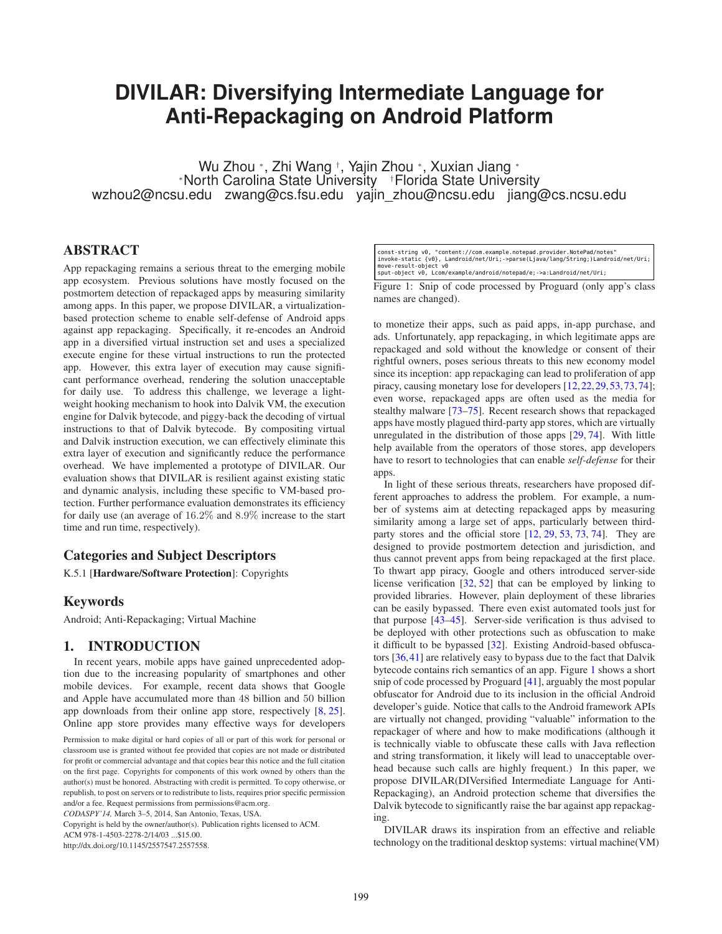# **DIVILAR: Diversifying Intermediate Language for Anti-Repackaging on Android Platform**

Wu Zhou <sup>∗</sup> , Zhi Wang † , Yajin Zhou <sup>∗</sup> , Xuxian Jiang <sup>∗</sup> <sup>∗</sup>North Carolina State University †Florida State University wzhou2@ncsu.edu zwang@cs.fsu.edu yajin zhou@ncsu.edu jiang@cs.ncsu.edu

# ABSTRACT

App repackaging remains a serious threat to the emerging mobile app ecosystem. Previous solutions have mostly focused on the postmortem detection of repackaged apps by measuring similarity among apps. In this paper, we propose DIVILAR, a virtualizationbased protection scheme to enable self-defense of Android apps against app repackaging. Specifically, it re-encodes an Android app in a diversified virtual instruction set and uses a specialized execute engine for these virtual instructions to run the protected app. However, this extra layer of execution may cause significant performance overhead, rendering the solution unacceptable for daily use. To address this challenge, we leverage a lightweight hooking mechanism to hook into Dalvik VM, the execution engine for Dalvik bytecode, and piggy-back the decoding of virtual instructions to that of Dalvik bytecode. By compositing virtual and Dalvik instruction execution, we can effectively eliminate this extra layer of execution and significantly reduce the performance overhead. We have implemented a prototype of DIVILAR. Our evaluation shows that DIVILAR is resilient against existing static and dynamic analysis, including these specific to VM-based protection. Further performance evaluation demonstrates its efficiency for daily use (an average of 16.2% and 8.9% increase to the start time and run time, respectively).

## Categories and Subject Descriptors

K.5.1 [Hardware/Software Protection]: Copyrights

## Keywords

Android; Anti-Repackaging; Virtual Machine

#### 1. INTRODUCTION

In recent years, mobile apps have gained unprecedented adoption due to the increasing popularity of smartphones and other mobile devices. For example, recent data shows that Google and Apple have accumulated more than 48 billion and 50 billion app downloads from their online app store, respectively [\[8,](#page-10-0) [25\]](#page-10-1). Online app store provides many effective ways for developers

*CODASPY'14,* March 3–5, 2014, San Antonio, Texas, USA.

Copyright is held by the owner/author(s). Publication rights licensed to ACM.

ACM 978-1-4503-2278-2/14/03 ...\$15.00.

http://dx.doi.org/10.1145/2557547.2557558.

<span id="page-0-0"></span>const-string v0, "content://com.example.notepad.provider.NotePad/notes"<br>invoke-static {v0}, Landroid/net/Uri;->parse(Ljava/lang/String;)Landroid/net/Uri;<br>move-result-object v0 sput-object v0, Lcom/example/android/notepad/e;->a:Landroid/net/Uri;

Figure 1: Snip of code processed by Proguard (only app's class names are changed).

to monetize their apps, such as paid apps, in-app purchase, and ads. Unfortunately, app repackaging, in which legitimate apps are repackaged and sold without the knowledge or consent of their rightful owners, poses serious threats to this new economy model since its inception: app repackaging can lead to proliferation of app piracy, causing monetary lose for developers [\[12,](#page-10-2)[22,](#page-10-3)[29,](#page-10-4)[53,](#page-11-0)[73,](#page-11-1)[74\]](#page-11-2); even worse, repackaged apps are often used as the media for stealthy malware [\[73](#page-11-1)[–75\]](#page-11-3). Recent research shows that repackaged apps have mostly plagued third-party app stores, which are virtually unregulated in the distribution of those apps [\[29,](#page-10-4) [74\]](#page-11-2). With little help available from the operators of those stores, app developers have to resort to technologies that can enable *self-defense* for their apps.

In light of these serious threats, researchers have proposed different approaches to address the problem. For example, a number of systems aim at detecting repackaged apps by measuring similarity among a large set of apps, particularly between thirdparty stores and the official store [\[12,](#page-10-2) [29,](#page-10-4) [53,](#page-11-0) [73,](#page-11-1) [74\]](#page-11-2). They are designed to provide postmortem detection and jurisdiction, and thus cannot prevent apps from being repackaged at the first place. To thwart app piracy, Google and others introduced server-side license verification [\[32,](#page-10-5) [52\]](#page-11-4) that can be employed by linking to provided libraries. However, plain deployment of these libraries can be easily bypassed. There even exist automated tools just for that purpose [\[43](#page-10-6)[–45\]](#page-10-7). Server-side verification is thus advised to be deployed with other protections such as obfuscation to make it difficult to be bypassed [\[32\]](#page-10-5). Existing Android-based obfuscators [\[36,](#page-10-8)[41\]](#page-10-9) are relatively easy to bypass due to the fact that Dalvik bytecode contains rich semantics of an app. Figure [1](#page-0-0) shows a short snip of code processed by Proguard [\[41\]](#page-10-9), arguably the most popular obfuscator for Android due to its inclusion in the official Android developer's guide. Notice that calls to the Android framework APIs are virtually not changed, providing "valuable" information to the repackager of where and how to make modifications (although it is technically viable to obfuscate these calls with Java reflection and string transformation, it likely will lead to unacceptable overhead because such calls are highly frequent.) In this paper, we propose DIVILAR(DIVersified Intermediate Language for Anti-Repackaging), an Android protection scheme that diversifies the Dalvik bytecode to significantly raise the bar against app repackaging.

DIVILAR draws its inspiration from an effective and reliable technology on the traditional desktop systems: virtual machine(VM)

Permission to make digital or hard copies of all or part of this work for personal or classroom use is granted without fee provided that copies are not made or distributed for profit or commercial advantage and that copies bear this notice and the full citation on the first page. Copyrights for components of this work owned by others than the author(s) must be honored. Abstracting with credit is permitted. To copy otherwise, or republish, to post on servers or to redistribute to lists, requires prior specific permission and/or a fee. Request permissions from permissions@acm.org.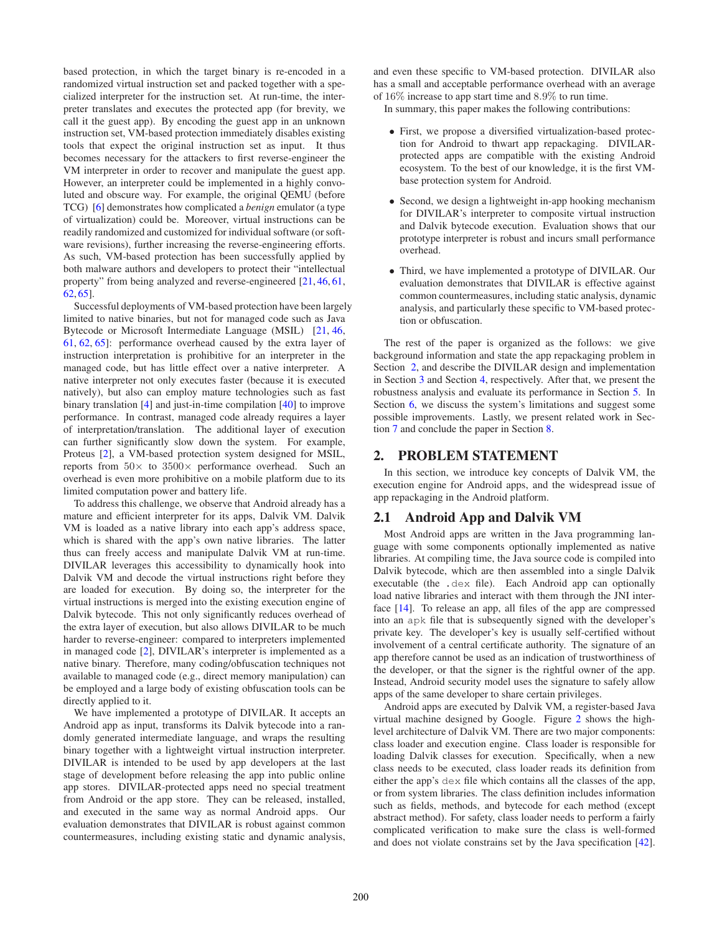based protection, in which the target binary is re-encoded in a randomized virtual instruction set and packed together with a specialized interpreter for the instruction set. At run-time, the interpreter translates and executes the protected app (for brevity, we call it the guest app). By encoding the guest app in an unknown instruction set, VM-based protection immediately disables existing tools that expect the original instruction set as input. It thus becomes necessary for the attackers to first reverse-engineer the VM interpreter in order to recover and manipulate the guest app. However, an interpreter could be implemented in a highly convoluted and obscure way. For example, the original QEMU (before TCG) [\[6\]](#page-9-0) demonstrates how complicated a *benign* emulator (a type of virtualization) could be. Moreover, virtual instructions can be readily randomized and customized for individual software (or software revisions), further increasing the reverse-engineering efforts. As such, VM-based protection has been successfully applied by both malware authors and developers to protect their "intellectual property" from being analyzed and reverse-engineered [\[21,](#page-10-10) [46,](#page-10-11) [61,](#page-11-5) [62,](#page-11-6) [65\]](#page-11-7).

Successful deployments of VM-based protection have been largely limited to native binaries, but not for managed code such as Java Bytecode or Microsoft Intermediate Language (MSIL) [\[21,](#page-10-10) [46,](#page-10-11) [61,](#page-11-5) [62,](#page-11-6) [65\]](#page-11-7): performance overhead caused by the extra layer of instruction interpretation is prohibitive for an interpreter in the managed code, but has little effect over a native interpreter. A native interpreter not only executes faster (because it is executed natively), but also can employ mature technologies such as fast binary translation [\[4\]](#page-9-1) and just-in-time compilation [\[40\]](#page-10-12) to improve performance. In contrast, managed code already requires a layer of interpretation/translation. The additional layer of execution can further significantly slow down the system. For example, Proteus [\[2\]](#page-9-2), a VM-based protection system designed for MSIL, reports from  $50\times$  to  $3500\times$  performance overhead. Such an overhead is even more prohibitive on a mobile platform due to its limited computation power and battery life.

To address this challenge, we observe that Android already has a mature and efficient interpreter for its apps, Dalvik VM. Dalvik VM is loaded as a native library into each app's address space, which is shared with the app's own native libraries. The latter thus can freely access and manipulate Dalvik VM at run-time. DIVILAR leverages this accessibility to dynamically hook into Dalvik VM and decode the virtual instructions right before they are loaded for execution. By doing so, the interpreter for the virtual instructions is merged into the existing execution engine of Dalvik bytecode. This not only significantly reduces overhead of the extra layer of execution, but also allows DIVILAR to be much harder to reverse-engineer: compared to interpreters implemented in managed code [\[2\]](#page-9-2), DIVILAR's interpreter is implemented as a native binary. Therefore, many coding/obfuscation techniques not available to managed code (e.g., direct memory manipulation) can be employed and a large body of existing obfuscation tools can be directly applied to it.

We have implemented a prototype of DIVILAR. It accepts an Android app as input, transforms its Dalvik bytecode into a randomly generated intermediate language, and wraps the resulting binary together with a lightweight virtual instruction interpreter. DIVILAR is intended to be used by app developers at the last stage of development before releasing the app into public online app stores. DIVILAR-protected apps need no special treatment from Android or the app store. They can be released, installed, and executed in the same way as normal Android apps. Our evaluation demonstrates that DIVILAR is robust against common countermeasures, including existing static and dynamic analysis,

and even these specific to VM-based protection. DIVILAR also has a small and acceptable performance overhead with an average of 16% increase to app start time and 8.9% to run time.

In summary, this paper makes the following contributions:

- First, we propose a diversified virtualization-based protection for Android to thwart app repackaging. DIVILARprotected apps are compatible with the existing Android ecosystem. To the best of our knowledge, it is the first VMbase protection system for Android.
- Second, we design a lightweight in-app hooking mechanism for DIVILAR's interpreter to composite virtual instruction and Dalvik bytecode execution. Evaluation shows that our prototype interpreter is robust and incurs small performance overhead.
- Third, we have implemented a prototype of DIVILAR. Our evaluation demonstrates that DIVILAR is effective against common countermeasures, including static analysis, dynamic analysis, and particularly these specific to VM-based protection or obfuscation.

The rest of the paper is organized as the follows: we give background information and state the app repackaging problem in Section [2,](#page-1-0) and describe the DIVILAR design and implementation in Section [3](#page-2-0) and Section [4,](#page-5-0) respectively. After that, we present the robustness analysis and evaluate its performance in Section [5.](#page-5-1) In Section [6,](#page-8-0) we discuss the system's limitations and suggest some possible improvements. Lastly, we present related work in Section [7](#page-9-3) and conclude the paper in Section [8.](#page-9-4)

## <span id="page-1-0"></span>2. PROBLEM STATEMENT

In this section, we introduce key concepts of Dalvik VM, the execution engine for Android apps, and the widespread issue of app repackaging in the Android platform.

# 2.1 Android App and Dalvik VM

Most Android apps are written in the Java programming language with some components optionally implemented as native libraries. At compiling time, the Java source code is compiled into Dalvik bytecode, which are then assembled into a single Dalvik executable (the .dex file). Each Android app can optionally load native libraries and interact with them through the JNI interface [\[14\]](#page-10-13). To release an app, all files of the app are compressed into an apk file that is subsequently signed with the developer's private key. The developer's key is usually self-certified without involvement of a central certificate authority. The signature of an app therefore cannot be used as an indication of trustworthiness of the developer, or that the signer is the rightful owner of the app. Instead, Android security model uses the signature to safely allow apps of the same developer to share certain privileges.

Android apps are executed by Dalvik VM, a register-based Java virtual machine designed by Google. Figure [2](#page-2-1) shows the highlevel architecture of Dalvik VM. There are two major components: class loader and execution engine. Class loader is responsible for loading Dalvik classes for execution. Specifically, when a new class needs to be executed, class loader reads its definition from either the app's dex file which contains all the classes of the app, or from system libraries. The class definition includes information such as fields, methods, and bytecode for each method (except abstract method). For safety, class loader needs to perform a fairly complicated verification to make sure the class is well-formed and does not violate constrains set by the Java specification [\[42\]](#page-10-14).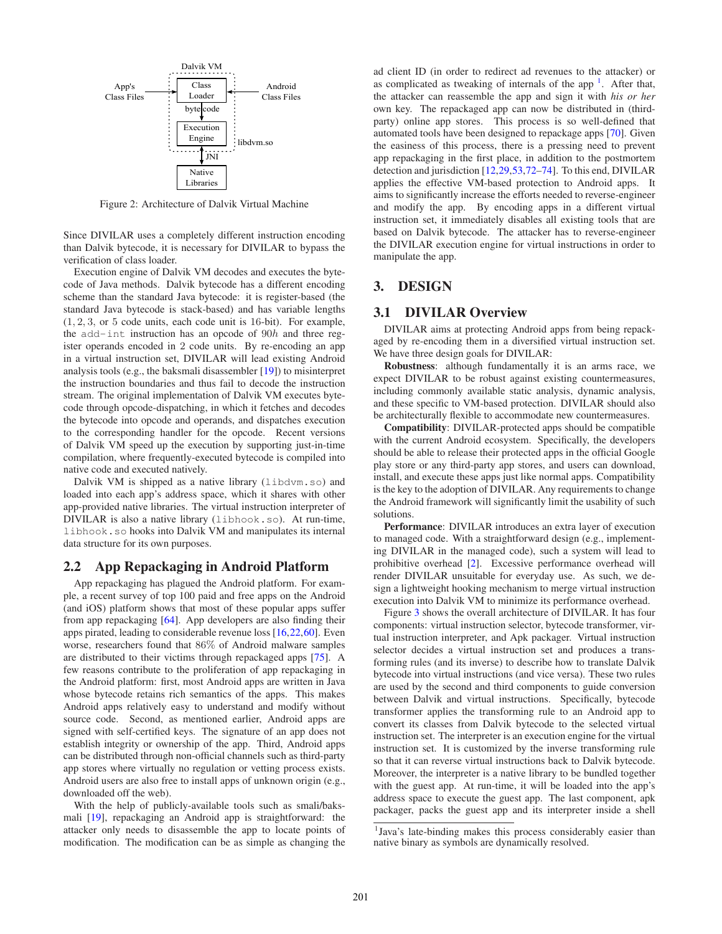<span id="page-2-1"></span>

Figure 2: Architecture of Dalvik Virtual Machine

Since DIVILAR uses a completely different instruction encoding than Dalvik bytecode, it is necessary for DIVILAR to bypass the verification of class loader.

Execution engine of Dalvik VM decodes and executes the bytecode of Java methods. Dalvik bytecode has a different encoding scheme than the standard Java bytecode: it is register-based (the standard Java bytecode is stack-based) and has variable lengths  $(1, 2, 3, \text{ or } 5 \text{ code units}, \text{ each code unit is } 16 \text{-bit}.$  For example, the add-int instruction has an opcode of 90h and three register operands encoded in 2 code units. By re-encoding an app in a virtual instruction set, DIVILAR will lead existing Android analysis tools (e.g., the baksmali disassembler [\[19\]](#page-10-15)) to misinterpret the instruction boundaries and thus fail to decode the instruction stream. The original implementation of Dalvik VM executes bytecode through opcode-dispatching, in which it fetches and decodes the bytecode into opcode and operands, and dispatches execution to the corresponding handler for the opcode. Recent versions of Dalvik VM speed up the execution by supporting just-in-time compilation, where frequently-executed bytecode is compiled into native code and executed natively.

Dalvik VM is shipped as a native library (libdym.so) and loaded into each app's address space, which it shares with other app-provided native libraries. The virtual instruction interpreter of DIVILAR is also a native library (libhook.so). At run-time, libhook.so hooks into Dalvik VM and manipulates its internal data structure for its own purposes.

## 2.2 App Repackaging in Android Platform

App repackaging has plagued the Android platform. For example, a recent survey of top 100 paid and free apps on the Android (and iOS) platform shows that most of these popular apps suffer from app repackaging [\[64\]](#page-11-8). App developers are also finding their apps pirated, leading to considerable revenue loss [\[16,](#page-10-16)[22,](#page-10-3)[60\]](#page-11-9). Even worse, researchers found that 86% of Android malware samples are distributed to their victims through repackaged apps [\[75\]](#page-11-3). A few reasons contribute to the proliferation of app repackaging in the Android platform: first, most Android apps are written in Java whose bytecode retains rich semantics of the apps. This makes Android apps relatively easy to understand and modify without source code. Second, as mentioned earlier, Android apps are signed with self-certified keys. The signature of an app does not establish integrity or ownership of the app. Third, Android apps can be distributed through non-official channels such as third-party app stores where virtually no regulation or vetting process exists. Android users are also free to install apps of unknown origin (e.g., downloaded off the web).

With the help of publicly-available tools such as smali/baksmali [\[19\]](#page-10-15), repackaging an Android app is straightforward: the attacker only needs to disassemble the app to locate points of modification. The modification can be as simple as changing the

ad client ID (in order to redirect ad revenues to the attacker) or as complicated as tweaking of internals of the app<sup>[1](#page-2-2)</sup>. After that, the attacker can reassemble the app and sign it with *his or her* own key. The repackaged app can now be distributed in (thirdparty) online app stores. This process is so well-defined that automated tools have been designed to repackage apps [\[70\]](#page-11-10). Given the easiness of this process, there is a pressing need to prevent app repackaging in the first place, in addition to the postmortem detection and jurisdiction [\[12,](#page-10-2)[29,](#page-10-4)[53,](#page-11-0)[72–](#page-11-11)[74\]](#page-11-2). To this end, DIVILAR applies the effective VM-based protection to Android apps. It aims to significantly increase the efforts needed to reverse-engineer and modify the app. By encoding apps in a different virtual instruction set, it immediately disables all existing tools that are based on Dalvik bytecode. The attacker has to reverse-engineer the DIVILAR execution engine for virtual instructions in order to manipulate the app.

## <span id="page-2-0"></span>3. DESIGN

# 3.1 DIVILAR Overview

DIVILAR aims at protecting Android apps from being repackaged by re-encoding them in a diversified virtual instruction set. We have three design goals for DIVILAR:

Robustness: although fundamentally it is an arms race, we expect DIVILAR to be robust against existing countermeasures, including commonly available static analysis, dynamic analysis, and these specific to VM-based protection. DIVILAR should also be architecturally flexible to accommodate new countermeasures.

Compatibility: DIVILAR-protected apps should be compatible with the current Android ecosystem. Specifically, the developers should be able to release their protected apps in the official Google play store or any third-party app stores, and users can download, install, and execute these apps just like normal apps. Compatibility is the key to the adoption of DIVILAR. Any requirements to change the Android framework will significantly limit the usability of such solutions.

Performance: DIVILAR introduces an extra layer of execution to managed code. With a straightforward design (e.g., implementing DIVILAR in the managed code), such a system will lead to prohibitive overhead [\[2\]](#page-9-2). Excessive performance overhead will render DIVILAR unsuitable for everyday use. As such, we design a lightweight hooking mechanism to merge virtual instruction execution into Dalvik VM to minimize its performance overhead.

Figure [3](#page-3-0) shows the overall architecture of DIVILAR. It has four components: virtual instruction selector, bytecode transformer, virtual instruction interpreter, and Apk packager. Virtual instruction selector decides a virtual instruction set and produces a transforming rules (and its inverse) to describe how to translate Dalvik bytecode into virtual instructions (and vice versa). These two rules are used by the second and third components to guide conversion between Dalvik and virtual instructions. Specifically, bytecode transformer applies the transforming rule to an Android app to convert its classes from Dalvik bytecode to the selected virtual instruction set. The interpreter is an execution engine for the virtual instruction set. It is customized by the inverse transforming rule so that it can reverse virtual instructions back to Dalvik bytecode. Moreover, the interpreter is a native library to be bundled together with the guest app. At run-time, it will be loaded into the app's address space to execute the guest app. The last component, apk packager, packs the guest app and its interpreter inside a shell

<span id="page-2-2"></span><sup>&</sup>lt;sup>1</sup>Java's late-binding makes this process considerably easier than native binary as symbols are dynamically resolved.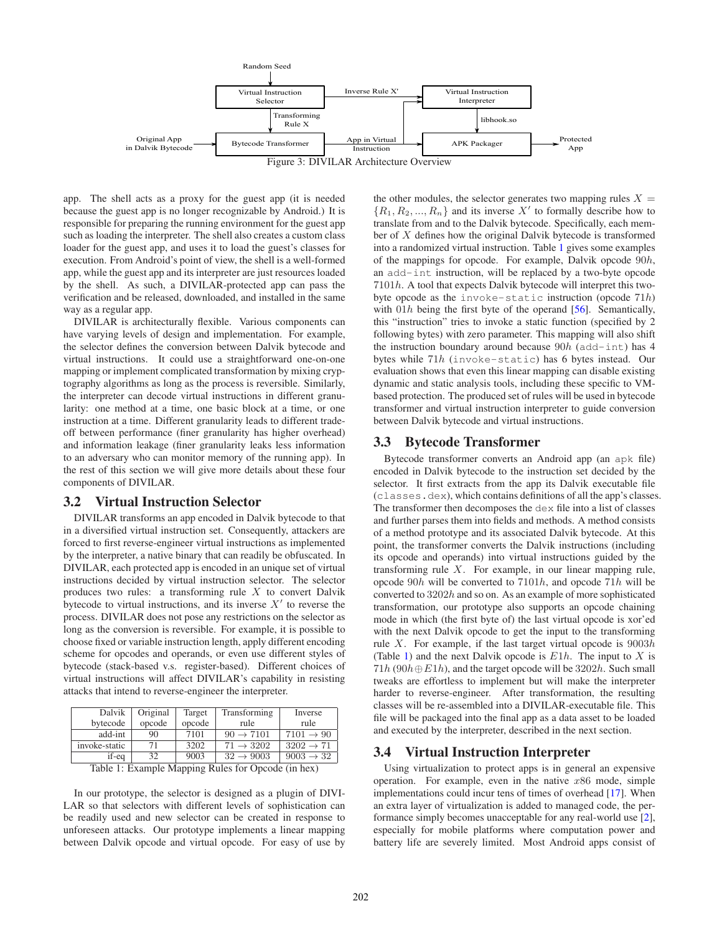<span id="page-3-0"></span>

app. The shell acts as a proxy for the guest app (it is needed because the guest app is no longer recognizable by Android.) It is responsible for preparing the running environment for the guest app such as loading the interpreter. The shell also creates a custom class loader for the guest app, and uses it to load the guest's classes for execution. From Android's point of view, the shell is a well-formed app, while the guest app and its interpreter are just resources loaded by the shell. As such, a DIVILAR-protected app can pass the verification and be released, downloaded, and installed in the same way as a regular app.

DIVILAR is architecturally flexible. Various components can have varying levels of design and implementation. For example, the selector defines the conversion between Dalvik bytecode and virtual instructions. It could use a straightforward one-on-one mapping or implement complicated transformation by mixing cryptography algorithms as long as the process is reversible. Similarly, the interpreter can decode virtual instructions in different granularity: one method at a time, one basic block at a time, or one instruction at a time. Different granularity leads to different tradeoff between performance (finer granularity has higher overhead) and information leakage (finer granularity leaks less information to an adversary who can monitor memory of the running app). In the rest of this section we will give more details about these four components of DIVILAR.

## <span id="page-3-2"></span>3.2 Virtual Instruction Selector

DIVILAR transforms an app encoded in Dalvik bytecode to that in a diversified virtual instruction set. Consequently, attackers are forced to first reverse-engineer virtual instructions as implemented by the interpreter, a native binary that can readily be obfuscated. In DIVILAR, each protected app is encoded in an unique set of virtual instructions decided by virtual instruction selector. The selector produces two rules: a transforming rule  $X$  to convert Dalvik bytecode to virtual instructions, and its inverse  $X'$  to reverse the process. DIVILAR does not pose any restrictions on the selector as long as the conversion is reversible. For example, it is possible to choose fixed or variable instruction length, apply different encoding scheme for opcodes and operands, or even use different styles of bytecode (stack-based v.s. register-based). Different choices of virtual instructions will affect DIVILAR's capability in resisting attacks that intend to reverse-engineer the interpreter.

<span id="page-3-1"></span>

| Dalvik        | Original | Target | Transforming          | Inverse               |
|---------------|----------|--------|-----------------------|-----------------------|
| bytecode      | opcode   | opcode | rule                  | rule                  |
| add-int       | 90       | 7101   | $90 \rightarrow 7101$ | $7101 \rightarrow 90$ |
| invoke-static | 71       | 3202   | $71 \rightarrow 3202$ | $3202 \rightarrow 71$ |
| if-eq         | 32       | 9003   | $32 \rightarrow 9003$ | $9003 \rightarrow 32$ |

Table 1: Example Mapping Rules for Opcode (in hex)

In our prototype, the selector is designed as a plugin of DIVI-LAR so that selectors with different levels of sophistication can be readily used and new selector can be created in response to unforeseen attacks. Our prototype implements a linear mapping between Dalvik opcode and virtual opcode. For easy of use by

the other modules, the selector generates two mapping rules  $X =$  $\{R_1, R_2, ..., R_n\}$  and its inverse X' to formally describe how to translate from and to the Dalvik bytecode. Specifically, each member of X defines how the original Dalvik bytecode is transformed into a randomized virtual instruction. Table [1](#page-3-1) gives some examples of the mappings for opcode. For example, Dalvik opcode 90h, an add-int instruction, will be replaced by a two-byte opcode 7101h. A tool that expects Dalvik bytecode will interpret this twobyte opcode as the invoke-static instruction (opcode 71h) with  $01h$  being the first byte of the operand  $[56]$ . Semantically, this "instruction" tries to invoke a static function (specified by 2 following bytes) with zero parameter. This mapping will also shift the instruction boundary around because  $90h$  (add-int) has 4 bytes while 71h (invoke-static) has 6 bytes instead. Our evaluation shows that even this linear mapping can disable existing dynamic and static analysis tools, including these specific to VMbased protection. The produced set of rules will be used in bytecode transformer and virtual instruction interpreter to guide conversion between Dalvik bytecode and virtual instructions.

## 3.3 Bytecode Transformer

Bytecode transformer converts an Android app (an apk file) encoded in Dalvik bytecode to the instruction set decided by the selector. It first extracts from the app its Dalvik executable file (classes.dex), which contains definitions of all the app's classes. The transformer then decomposes the dex file into a list of classes and further parses them into fields and methods. A method consists of a method prototype and its associated Dalvik bytecode. At this point, the transformer converts the Dalvik instructions (including its opcode and operands) into virtual instructions guided by the transforming rule X. For example, in our linear mapping rule, opcode 90h will be converted to 7101h, and opcode 71h will be converted to  $3202h$  and so on. As an example of more sophisticated transformation, our prototype also supports an opcode chaining mode in which (the first byte of) the last virtual opcode is xor'ed with the next Dalvik opcode to get the input to the transforming rule X. For example, if the last target virtual opcode is  $9003h$ (Table [1\)](#page-3-1) and the next Dalvik opcode is  $E1h$ . The input to X is  $71h(90h\oplus E1h)$ , and the target opcode will be  $3202h$ . Such small tweaks are effortless to implement but will make the interpreter harder to reverse-engineer. After transformation, the resulting classes will be re-assembled into a DIVILAR-executable file. This file will be packaged into the final app as a data asset to be loaded and executed by the interpreter, described in the next section.

## 3.4 Virtual Instruction Interpreter

Using virtualization to protect apps is in general an expensive operation. For example, even in the native  $x86$  mode, simple implementations could incur tens of times of overhead [\[17\]](#page-10-17). When an extra layer of virtualization is added to managed code, the performance simply becomes unacceptable for any real-world use [\[2\]](#page-9-2), especially for mobile platforms where computation power and battery life are severely limited. Most Android apps consist of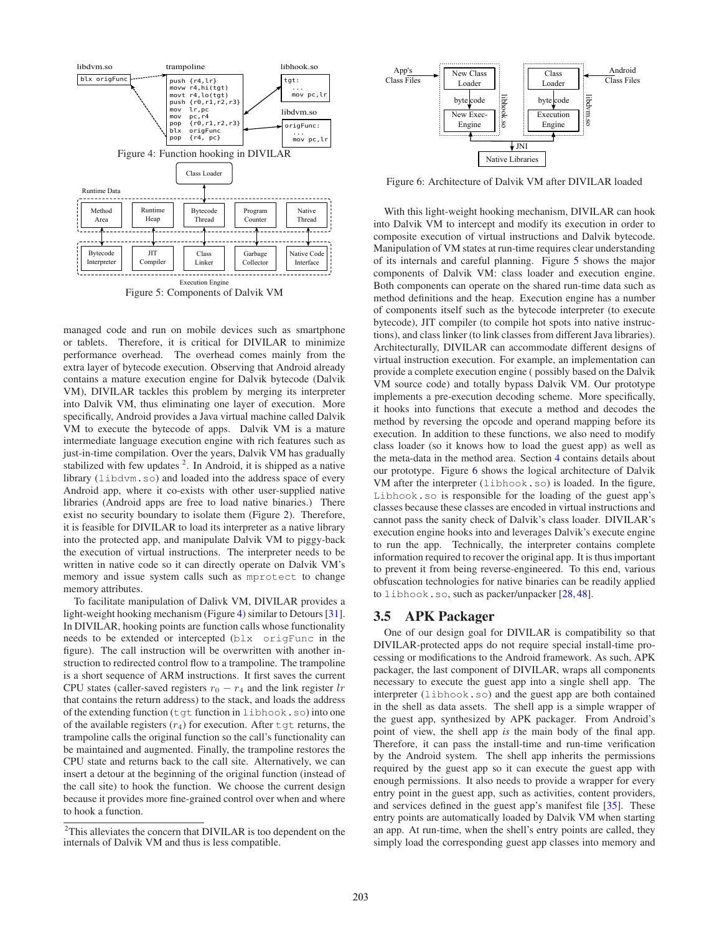<span id="page-4-2"></span><span id="page-4-1"></span>

Figure 5: Components of Dalvik VM

managed code and run on mobile devices such as smartphone or tablets. Therefore, it is critical for DIVILAR to minimize performance overhead. The overhead comes mainly from the extra layer of bytecode execution. Observing that Android already contains a mature execution engine for Dalvik bytecode (Dalvik VM), DIVILAR tackles this problem by merging its interpreter into Dalvik VM, thus eliminating one layer of execution. More specifically, Android provides a Java virtual machine called Dalvik VM to execute the bytecode of apps. Dalvik VM is a mature intermediate language execution engine with rich features such as just-in-time compilation. Over the years, Dalvik VM has gradually stabilized with few updates  $2$ . In Android, it is shipped as a native library (libdvm.so) and loaded into the address space of every Android app, where it co-exists with other user-supplied native libraries (Android apps are free to load native binaries.) There exist no security boundary to isolate them (Figure [2\)](#page-2-1). Therefore, it is feasible for DIVILAR to load its interpreter as a native library into the protected app, and manipulate Dalvik VM to piggy-back the execution of virtual instructions. The interpreter needs to be written in native code so it can directly operate on Dalvik VM's memory and issue system calls such as mprotect to change memory attributes.

To facilitate manipulation of Dalivk VM, DIVILAR provides a light-weight hooking mechanism (Figure [4\)](#page-4-1) similar to Detours [\[31\]](#page-10-18). In DIVILAR, hooking points are function calls whose functionality needs to be extended or intercepted (blx origFunc in the figure). The call instruction will be overwritten with another instruction to redirected control flow to a trampoline. The trampoline is a short sequence of ARM instructions. It first saves the current CPU states (caller-saved registers  $r_0 - r_4$  and the link register lr that contains the return address) to the stack, and loads the address of the extending function (tgt function in libhook.so) into one of the available registers  $(r_4)$  for execution. After  $\tau$  test returns, the trampoline calls the original function so the call's functionality can be maintained and augmented. Finally, the trampoline restores the CPU state and returns back to the call site. Alternatively, we can insert a detour at the beginning of the original function (instead of the call site) to hook the function. We choose the current design because it provides more fine-grained control over when and where to hook a function.

<span id="page-4-3"></span>

Figure 6: Architecture of Dalvik VM after DIVILAR loaded

With this light-weight hooking mechanism, DIVILAR can hook into Dalvik VM to intercept and modify its execution in order to composite execution of virtual instructions and Dalvik bytecode. Manipulation of VM states at run-time requires clear understanding of its internals and careful planning. Figure [5](#page-4-2) shows the major components of Dalvik VM: class loader and execution engine. Both components can operate on the shared run-time data such as method definitions and the heap. Execution engine has a number of components itself such as the bytecode interpreter (to execute bytecode), JIT compiler (to compile hot spots into native instructions), and class linker (to link classes from different Java libraries). Architecturally, DIVILAR can accommodate different designs of virtual instruction execution. For example, an implementation can provide a complete execution engine ( possibly based on the Dalvik VM source code) and totally bypass Dalvik VM. Our prototype implements a pre-execution decoding scheme. More specifically, it hooks into functions that execute a method and decodes the method by reversing the opcode and operand mapping before its execution. In addition to these functions, we also need to modify class loader (so it knows how to load the guest app) as well as the meta-data in the method area. Section [4](#page-5-0) contains details about our prototype. Figure [6](#page-4-3) shows the logical architecture of Dalvik VM after the interpreter (libhook.so) is loaded. In the figure, Libhook.so is responsible for the loading of the guest app's classes because these classes are encoded in virtual instructions and cannot pass the sanity check of Dalvik's class loader. DIVILAR's execution engine hooks into and leverages Dalvik's execute engine to run the app. Technically, the interpreter contains complete information required to recover the original app. It is thus important to prevent it from being reverse-engineered. To this end, various obfuscation technologies for native binaries can be readily applied to libhook.so, such as packer/unpacker [\[28,](#page-10-19) [48\]](#page-11-13).

## 3.5 APK Packager

One of our design goal for DIVILAR is compatibility so that DIVILAR-protected apps do not require special install-time processing or modifications to the Android framework. As such, APK packager, the last component of DIVILAR, wraps all components necessary to execute the guest app into a single shell app. The interpreter (libhook.so) and the guest app are both contained in the shell as data assets. The shell app is a simple wrapper of the guest app, synthesized by APK packager. From Android's point of view, the shell app *is* the main body of the final app. Therefore, it can pass the install-time and run-time verification by the Android system. The shell app inherits the permissions required by the guest app so it can execute the guest app with enough permissions. It also needs to provide a wrapper for every entry point in the guest app, such as activities, content providers, and services defined in the guest app's manifest file [\[35\]](#page-10-20). These entry points are automatically loaded by Dalvik VM when starting an app. At run-time, when the shell's entry points are called, they simply load the corresponding guest app classes into memory and

<span id="page-4-0"></span><sup>&</sup>lt;sup>2</sup>This alleviates the concern that DIVILAR is too dependent on the internals of Dalvik VM and thus is less compatible.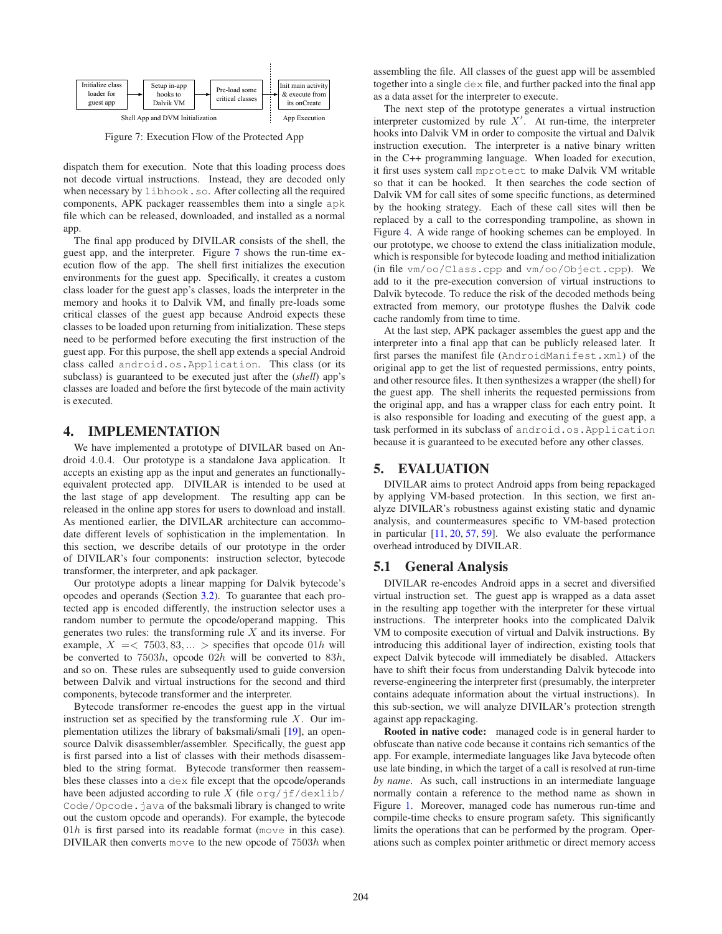<span id="page-5-2"></span>

Figure 7: Execution Flow of the Protected App

dispatch them for execution. Note that this loading process does not decode virtual instructions. Instead, they are decoded only when necessary by libhook.so. After collecting all the required components, APK packager reassembles them into a single apk file which can be released, downloaded, and installed as a normal app.

The final app produced by DIVILAR consists of the shell, the guest app, and the interpreter. Figure [7](#page-5-2) shows the run-time execution flow of the app. The shell first initializes the execution environments for the guest app. Specifically, it creates a custom class loader for the guest app's classes, loads the interpreter in the memory and hooks it to Dalvik VM, and finally pre-loads some critical classes of the guest app because Android expects these classes to be loaded upon returning from initialization. These steps need to be performed before executing the first instruction of the guest app. For this purpose, the shell app extends a special Android class called android.os.Application. This class (or its subclass) is guaranteed to be executed just after the (*shell*) app's classes are loaded and before the first bytecode of the main activity is executed.

## <span id="page-5-0"></span>4. IMPLEMENTATION

We have implemented a prototype of DIVILAR based on Android 4.0.4. Our prototype is a standalone Java application. It accepts an existing app as the input and generates an functionallyequivalent protected app. DIVILAR is intended to be used at the last stage of app development. The resulting app can be released in the online app stores for users to download and install. As mentioned earlier, the DIVILAR architecture can accommodate different levels of sophistication in the implementation. In this section, we describe details of our prototype in the order of DIVILAR's four components: instruction selector, bytecode transformer, the interpreter, and apk packager.

Our prototype adopts a linear mapping for Dalvik bytecode's opcodes and operands (Section [3.2\)](#page-3-2). To guarantee that each protected app is encoded differently, the instruction selector uses a random number to permute the opcode/operand mapping. This generates two rules: the transforming rule  $X$  and its inverse. For example,  $X = \langle 7503, 83, \dots \rangle$  specifies that opcode 01h will be converted to 7503h, opcode 02h will be converted to 83h, and so on. These rules are subsequently used to guide conversion between Dalvik and virtual instructions for the second and third components, bytecode transformer and the interpreter.

Bytecode transformer re-encodes the guest app in the virtual instruction set as specified by the transforming rule  $X$ . Our implementation utilizes the library of baksmali/smali [\[19\]](#page-10-15), an opensource Dalvik disassembler/assembler. Specifically, the guest app is first parsed into a list of classes with their methods disassembled to the string format. Bytecode transformer then reassembles these classes into a dex file except that the opcode/operands have been adjusted according to rule X (file  $\sigma$ rg/jf/dexlib/ Code/Opcode. java of the baksmali library is changed to write out the custom opcode and operands). For example, the bytecode  $01h$  is first parsed into its readable format (move in this case). DIVILAR then converts move to the new opcode of 7503h when assembling the file. All classes of the guest app will be assembled together into a single dex file, and further packed into the final app as a data asset for the interpreter to execute.

The next step of the prototype generates a virtual instruction interpreter customized by rule  $X'$ . At run-time, the interpreter hooks into Dalvik VM in order to composite the virtual and Dalvik instruction execution. The interpreter is a native binary written in the C++ programming language. When loaded for execution, it first uses system call mprotect to make Dalvik VM writable so that it can be hooked. It then searches the code section of Dalvik VM for call sites of some specific functions, as determined by the hooking strategy. Each of these call sites will then be replaced by a call to the corresponding trampoline, as shown in Figure [4.](#page-4-1) A wide range of hooking schemes can be employed. In our prototype, we choose to extend the class initialization module, which is responsible for bytecode loading and method initialization (in file vm/oo/Class.cpp and vm/oo/Object.cpp). We add to it the pre-execution conversion of virtual instructions to Dalvik bytecode. To reduce the risk of the decoded methods being extracted from memory, our prototype flushes the Dalvik code cache randomly from time to time.

At the last step, APK packager assembles the guest app and the interpreter into a final app that can be publicly released later. It first parses the manifest file (AndroidManifest.xml) of the original app to get the list of requested permissions, entry points, and other resource files. It then synthesizes a wrapper (the shell) for the guest app. The shell inherits the requested permissions from the original app, and has a wrapper class for each entry point. It is also responsible for loading and executing of the guest app, a task performed in its subclass of android.os.Application because it is guaranteed to be executed before any other classes.

#### <span id="page-5-1"></span>5. EVALUATION

DIVILAR aims to protect Android apps from being repackaged by applying VM-based protection. In this section, we first analyze DIVILAR's robustness against existing static and dynamic analysis, and countermeasures specific to VM-based protection in particular [\[11,](#page-10-21) [20,](#page-10-22) [57,](#page-11-14) [59\]](#page-11-15). We also evaluate the performance overhead introduced by DIVILAR.

#### 5.1 General Analysis

DIVILAR re-encodes Android apps in a secret and diversified virtual instruction set. The guest app is wrapped as a data asset in the resulting app together with the interpreter for these virtual instructions. The interpreter hooks into the complicated Dalvik VM to composite execution of virtual and Dalvik instructions. By introducing this additional layer of indirection, existing tools that expect Dalvik bytecode will immediately be disabled. Attackers have to shift their focus from understanding Dalvik bytecode into reverse-engineering the interpreter first (presumably, the interpreter contains adequate information about the virtual instructions). In this sub-section, we will analyze DIVILAR's protection strength against app repackaging.

Rooted in native code: managed code is in general harder to obfuscate than native code because it contains rich semantics of the app. For example, intermediate languages like Java bytecode often use late binding, in which the target of a call is resolved at run-time *by name*. As such, call instructions in an intermediate language normally contain a reference to the method name as shown in Figure [1.](#page-0-0) Moreover, managed code has numerous run-time and compile-time checks to ensure program safety. This significantly limits the operations that can be performed by the program. Operations such as complex pointer arithmetic or direct memory access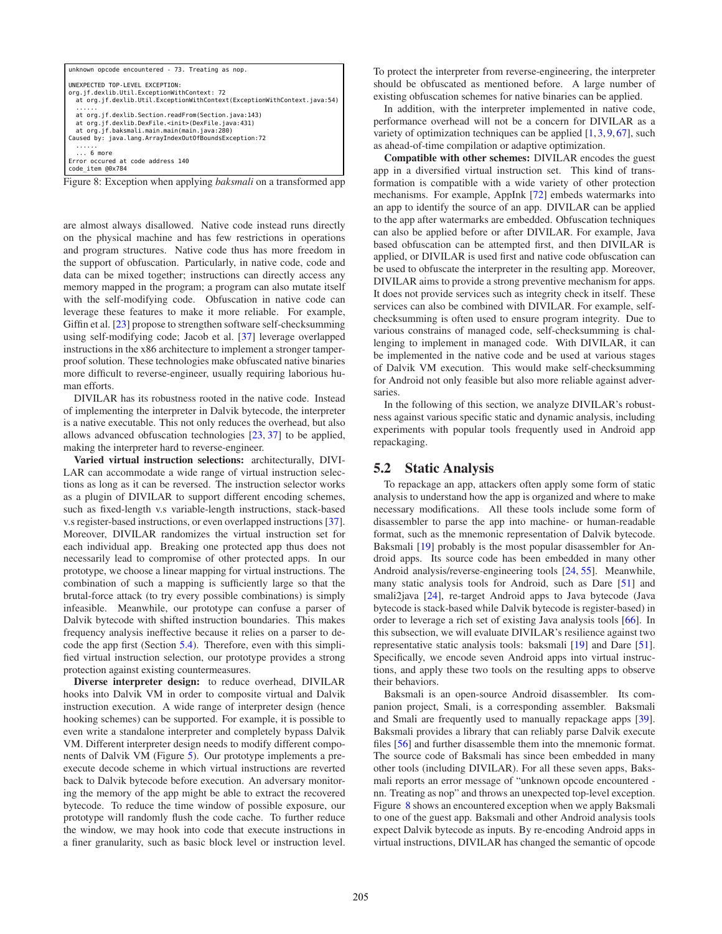<span id="page-6-0"></span>

| unknown opcode encountered - 73. Treating as nop.                                                                                                                                                                           |  |  |
|-----------------------------------------------------------------------------------------------------------------------------------------------------------------------------------------------------------------------------|--|--|
| UNEXPECTED TOP-LEVEL EXCEPTION:<br>org.jf.dexlib.Util.ExceptionWithContext: 72<br>at org.jf.dexlib.Util.ExceptionWithContext(ExceptionWithContext.java:54)                                                                  |  |  |
| at org.if.dexlib.Section.readFrom(Section.java:143)<br>at org.jf.dexlib.DexFile. <init>(DexFile.java:431)<br/>at org.jf.baksmali.main.main(main.java:280)<br/>Caused by: java.lang.ArrayIndexOutOfBoundsException:72</init> |  |  |
| .<br>$\ldots$ 6 more<br>Error occured at code address 140<br>code item @0x784                                                                                                                                               |  |  |

Figure 8: Exception when applying *baksmali* on a transformed app

are almost always disallowed. Native code instead runs directly on the physical machine and has few restrictions in operations and program structures. Native code thus has more freedom in the support of obfuscation. Particularly, in native code, code and data can be mixed together; instructions can directly access any memory mapped in the program; a program can also mutate itself with the self-modifying code. Obfuscation in native code can leverage these features to make it more reliable. For example, Giffin et al. [\[23\]](#page-10-23) propose to strengthen software self-checksumming using self-modifying code; Jacob et al. [\[37\]](#page-10-24) leverage overlapped instructions in the x86 architecture to implement a stronger tamperproof solution. These technologies make obfuscated native binaries more difficult to reverse-engineer, usually requiring laborious human efforts.

DIVILAR has its robustness rooted in the native code. Instead of implementing the interpreter in Dalvik bytecode, the interpreter is a native executable. This not only reduces the overhead, but also allows advanced obfuscation technologies [\[23,](#page-10-23) [37\]](#page-10-24) to be applied, making the interpreter hard to reverse-engineer.

Varied virtual instruction selections: architecturally, DIVI-LAR can accommodate a wide range of virtual instruction selections as long as it can be reversed. The instruction selector works as a plugin of DIVILAR to support different encoding schemes, such as fixed-length v.s variable-length instructions, stack-based v.s register-based instructions, or even overlapped instructions [\[37\]](#page-10-24). Moreover, DIVILAR randomizes the virtual instruction set for each individual app. Breaking one protected app thus does not necessarily lead to compromise of other protected apps. In our prototype, we choose a linear mapping for virtual instructions. The combination of such a mapping is sufficiently large so that the brutal-force attack (to try every possible combinations) is simply infeasible. Meanwhile, our prototype can confuse a parser of Dalvik bytecode with shifted instruction boundaries. This makes frequency analysis ineffective because it relies on a parser to decode the app first (Section [5.4\)](#page-7-0). Therefore, even with this simplified virtual instruction selection, our prototype provides a strong protection against existing countermeasures.

Diverse interpreter design: to reduce overhead, DIVILAR hooks into Dalvik VM in order to composite virtual and Dalvik instruction execution. A wide range of interpreter design (hence hooking schemes) can be supported. For example, it is possible to even write a standalone interpreter and completely bypass Dalvik VM. Different interpreter design needs to modify different components of Dalvik VM (Figure [5\)](#page-4-2). Our prototype implements a preexecute decode scheme in which virtual instructions are reverted back to Dalvik bytecode before execution. An adversary monitoring the memory of the app might be able to extract the recovered bytecode. To reduce the time window of possible exposure, our prototype will randomly flush the code cache. To further reduce the window, we may hook into code that execute instructions in a finer granularity, such as basic block level or instruction level. To protect the interpreter from reverse-engineering, the interpreter should be obfuscated as mentioned before. A large number of existing obfuscation schemes for native binaries can be applied.

In addition, with the interpreter implemented in native code, performance overhead will not be a concern for DIVILAR as a variety of optimization techniques can be applied  $[1, 3, 9, 67]$  $[1, 3, 9, 67]$  $[1, 3, 9, 67]$  $[1, 3, 9, 67]$  $[1, 3, 9, 67]$  $[1, 3, 9, 67]$ , such as ahead-of-time compilation or adaptive optimization.

Compatible with other schemes: DIVILAR encodes the guest app in a diversified virtual instruction set. This kind of transformation is compatible with a wide variety of other protection mechanisms. For example, AppInk [\[72\]](#page-11-11) embeds watermarks into an app to identify the source of an app. DIVILAR can be applied to the app after watermarks are embedded. Obfuscation techniques can also be applied before or after DIVILAR. For example, Java based obfuscation can be attempted first, and then DIVILAR is applied, or DIVILAR is used first and native code obfuscation can be used to obfuscate the interpreter in the resulting app. Moreover, DIVILAR aims to provide a strong preventive mechanism for apps. It does not provide services such as integrity check in itself. These services can also be combined with DIVILAR. For example, selfchecksumming is often used to ensure program integrity. Due to various constrains of managed code, self-checksumming is challenging to implement in managed code. With DIVILAR, it can be implemented in the native code and be used at various stages of Dalvik VM execution. This would make self-checksumming for Android not only feasible but also more reliable against adversaries.

In the following of this section, we analyze DIVILAR's robustness against various specific static and dynamic analysis, including experiments with popular tools frequently used in Android app repackaging.

#### <span id="page-6-1"></span>5.2 Static Analysis

To repackage an app, attackers often apply some form of static analysis to understand how the app is organized and where to make necessary modifications. All these tools include some form of disassembler to parse the app into machine- or human-readable format, such as the mnemonic representation of Dalvik bytecode. Baksmali [\[19\]](#page-10-15) probably is the most popular disassembler for Android apps. Its source code has been embedded in many other Android analysis/reverse-engineering tools [\[24,](#page-10-26) [55\]](#page-11-17). Meanwhile, many static analysis tools for Android, such as Dare [\[51\]](#page-11-18) and smali2java [\[24\]](#page-10-26), re-target Android apps to Java bytecode (Java bytecode is stack-based while Dalvik bytecode is register-based) in order to leverage a rich set of existing Java analysis tools [\[66\]](#page-11-19). In this subsection, we will evaluate DIVILAR's resilience against two representative static analysis tools: baksmali [\[19\]](#page-10-15) and Dare [\[51\]](#page-11-18). Specifically, we encode seven Android apps into virtual instructions, and apply these two tools on the resulting apps to observe their behaviors.

Baksmali is an open-source Android disassembler. Its companion project, Smali, is a corresponding assembler. Baksmali and Smali are frequently used to manually repackage apps [\[39\]](#page-10-27). Baksmali provides a library that can reliably parse Dalvik execute files [\[56\]](#page-11-12) and further disassemble them into the mnemonic format. The source code of Baksmali has since been embedded in many other tools (including DIVILAR). For all these seven apps, Baksmali reports an error message of "unknown opcode encountered nn. Treating as nop" and throws an unexpected top-level exception. Figure [8](#page-6-0) shows an encountered exception when we apply Baksmali to one of the guest app. Baksmali and other Android analysis tools expect Dalvik bytecode as inputs. By re-encoding Android apps in virtual instructions, DIVILAR has changed the semantic of opcode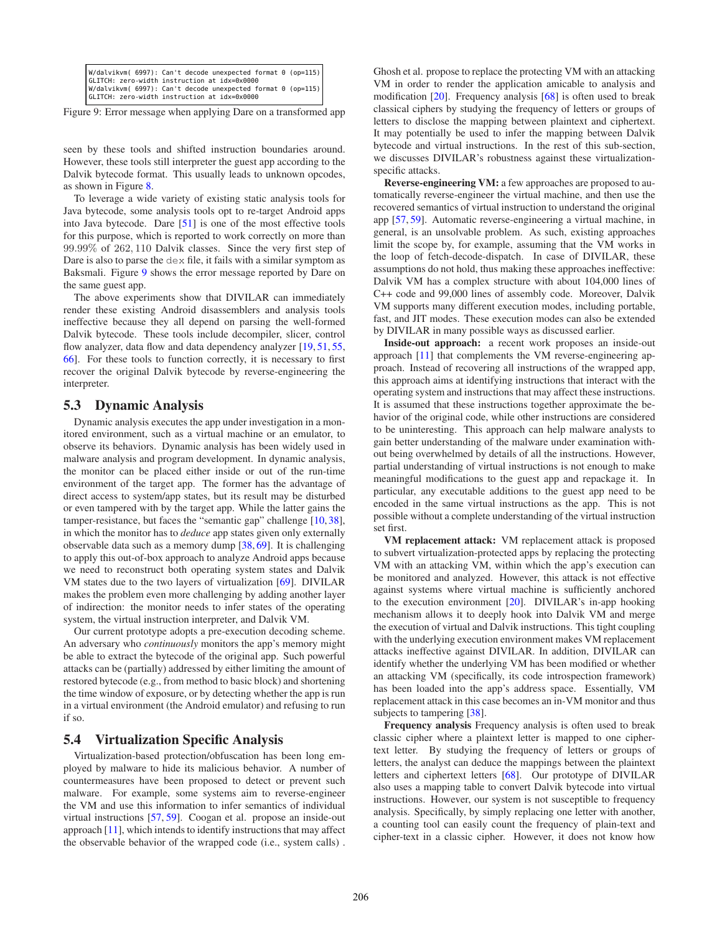<span id="page-7-1"></span>

|  | W/dalvikvm( 6997): Can't decode unexpected format 0 (op=115) |
|--|--------------------------------------------------------------|
|  | GLITCH: zero-width instruction at idx=0x0000                 |
|  | W/dalvikvm( 6997): Can't decode unexpected format 0 (op=115) |
|  | GLITCH: zero-width instruction at idx=0x0000                 |

Figure 9: Error message when applying Dare on a transformed app

seen by these tools and shifted instruction boundaries around. However, these tools still interpreter the guest app according to the Dalvik bytecode format. This usually leads to unknown opcodes, as shown in Figure [8.](#page-6-0)

To leverage a wide variety of existing static analysis tools for Java bytecode, some analysis tools opt to re-target Android apps into Java bytecode. Dare [\[51\]](#page-11-18) is one of the most effective tools for this purpose, which is reported to work correctly on more than 99.99% of 262, 110 Dalvik classes. Since the very first step of Dare is also to parse the dex file, it fails with a similar symptom as Baksmali. Figure [9](#page-7-1) shows the error message reported by Dare on the same guest app.

The above experiments show that DIVILAR can immediately render these existing Android disassemblers and analysis tools ineffective because they all depend on parsing the well-formed Dalvik bytecode. These tools include decompiler, slicer, control flow analyzer, data flow and data dependency analyzer [\[19,](#page-10-15) [51,](#page-11-18) [55,](#page-11-17) [66\]](#page-11-19). For these tools to function correctly, it is necessary to first recover the original Dalvik bytecode by reverse-engineering the interpreter.

#### 5.3 Dynamic Analysis

Dynamic analysis executes the app under investigation in a monitored environment, such as a virtual machine or an emulator, to observe its behaviors. Dynamic analysis has been widely used in malware analysis and program development. In dynamic analysis, the monitor can be placed either inside or out of the run-time environment of the target app. The former has the advantage of direct access to system/app states, but its result may be disturbed or even tampered with by the target app. While the latter gains the tamper-resistance, but faces the "semantic gap" challenge [\[10,](#page-10-28) [38\]](#page-10-29), in which the monitor has to *deduce* app states given only externally observable data such as a memory dump [\[38,](#page-10-29) [69\]](#page-11-20). It is challenging to apply this out-of-box approach to analyze Android apps because we need to reconstruct both operating system states and Dalvik VM states due to the two layers of virtualization [\[69\]](#page-11-20). DIVILAR makes the problem even more challenging by adding another layer of indirection: the monitor needs to infer states of the operating system, the virtual instruction interpreter, and Dalvik VM.

Our current prototype adopts a pre-execution decoding scheme. An adversary who *continuously* monitors the app's memory might be able to extract the bytecode of the original app. Such powerful attacks can be (partially) addressed by either limiting the amount of restored bytecode (e.g., from method to basic block) and shortening the time window of exposure, or by detecting whether the app is run in a virtual environment (the Android emulator) and refusing to run if so.

#### <span id="page-7-0"></span>5.4 Virtualization Specific Analysis

Virtualization-based protection/obfuscation has been long employed by malware to hide its malicious behavior. A number of countermeasures have been proposed to detect or prevent such malware. For example, some systems aim to reverse-engineer the VM and use this information to infer semantics of individual virtual instructions [\[57,](#page-11-14) [59\]](#page-11-15). Coogan et al. propose an inside-out approach [\[11\]](#page-10-21), which intends to identify instructions that may affect the observable behavior of the wrapped code (i.e., system calls) .

Ghosh et al. propose to replace the protecting VM with an attacking VM in order to render the application amicable to analysis and modification [\[20\]](#page-10-22). Frequency analysis [\[68\]](#page-11-21) is often used to break classical ciphers by studying the frequency of letters or groups of letters to disclose the mapping between plaintext and ciphertext. It may potentially be used to infer the mapping between Dalvik bytecode and virtual instructions. In the rest of this sub-section, we discusses DIVILAR's robustness against these virtualizationspecific attacks.

Reverse-engineering VM: a few approaches are proposed to automatically reverse-engineer the virtual machine, and then use the recovered semantics of virtual instruction to understand the original app [\[57,](#page-11-14) [59\]](#page-11-15). Automatic reverse-engineering a virtual machine, in general, is an unsolvable problem. As such, existing approaches limit the scope by, for example, assuming that the VM works in the loop of fetch-decode-dispatch. In case of DIVILAR, these assumptions do not hold, thus making these approaches ineffective: Dalvik VM has a complex structure with about 104,000 lines of C++ code and 99,000 lines of assembly code. Moreover, Dalvik VM supports many different execution modes, including portable, fast, and JIT modes. These execution modes can also be extended by DIVILAR in many possible ways as discussed earlier.

Inside-out approach: a recent work proposes an inside-out approach [\[11\]](#page-10-21) that complements the VM reverse-engineering approach. Instead of recovering all instructions of the wrapped app, this approach aims at identifying instructions that interact with the operating system and instructions that may affect these instructions. It is assumed that these instructions together approximate the behavior of the original code, while other instructions are considered to be uninteresting. This approach can help malware analysts to gain better understanding of the malware under examination without being overwhelmed by details of all the instructions. However, partial understanding of virtual instructions is not enough to make meaningful modifications to the guest app and repackage it. In particular, any executable additions to the guest app need to be encoded in the same virtual instructions as the app. This is not possible without a complete understanding of the virtual instruction set first.

VM replacement attack: VM replacement attack is proposed to subvert virtualization-protected apps by replacing the protecting VM with an attacking VM, within which the app's execution can be monitored and analyzed. However, this attack is not effective against systems where virtual machine is sufficiently anchored to the execution environment [\[20\]](#page-10-22). DIVILAR's in-app hooking mechanism allows it to deeply hook into Dalvik VM and merge the execution of virtual and Dalvik instructions. This tight coupling with the underlying execution environment makes VM replacement attacks ineffective against DIVILAR. In addition, DIVILAR can identify whether the underlying VM has been modified or whether an attacking VM (specifically, its code introspection framework) has been loaded into the app's address space. Essentially, VM replacement attack in this case becomes an in-VM monitor and thus subjects to tampering [\[38\]](#page-10-29).

Frequency analysis Frequency analysis is often used to break classic cipher where a plaintext letter is mapped to one ciphertext letter. By studying the frequency of letters or groups of letters, the analyst can deduce the mappings between the plaintext letters and ciphertext letters [\[68\]](#page-11-21). Our prototype of DIVILAR also uses a mapping table to convert Dalvik bytecode into virtual instructions. However, our system is not susceptible to frequency analysis. Specifically, by simply replacing one letter with another, a counting tool can easily count the frequency of plain-text and cipher-text in a classic cipher. However, it does not know how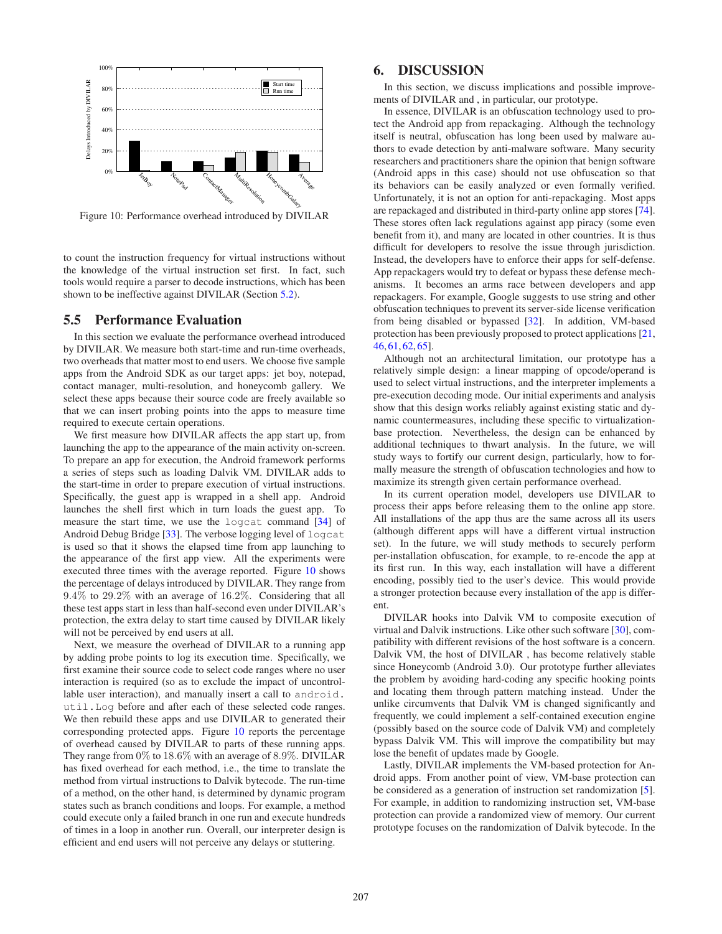<span id="page-8-1"></span>

Figure 10: Performance overhead introduced by DIVILAR

to count the instruction frequency for virtual instructions without the knowledge of the virtual instruction set first. In fact, such tools would require a parser to decode instructions, which has been shown to be ineffective against DIVILAR (Section [5.2\)](#page-6-1).

## 5.5 Performance Evaluation

In this section we evaluate the performance overhead introduced by DIVILAR. We measure both start-time and run-time overheads, two overheads that matter most to end users. We choose five sample apps from the Android SDK as our target apps: jet boy, notepad, contact manager, multi-resolution, and honeycomb gallery. We select these apps because their source code are freely available so that we can insert probing points into the apps to measure time required to execute certain operations.

We first measure how DIVILAR affects the app start up, from launching the app to the appearance of the main activity on-screen. To prepare an app for execution, the Android framework performs a series of steps such as loading Dalvik VM. DIVILAR adds to the start-time in order to prepare execution of virtual instructions. Specifically, the guest app is wrapped in a shell app. Android launches the shell first which in turn loads the guest app. To measure the start time, we use the logcat command [\[34\]](#page-10-30) of Android Debug Bridge [\[33\]](#page-10-31). The verbose logging level of logcat is used so that it shows the elapsed time from app launching to the appearance of the first app view. All the experiments were executed three times with the average reported. Figure [10](#page-8-1) shows the percentage of delays introduced by DIVILAR. They range from 9.4% to 29.2% with an average of 16.2%. Considering that all these test apps start in less than half-second even under DIVILAR's protection, the extra delay to start time caused by DIVILAR likely will not be perceived by end users at all.

Next, we measure the overhead of DIVILAR to a running app by adding probe points to log its execution time. Specifically, we first examine their source code to select code ranges where no user interaction is required (so as to exclude the impact of uncontrollable user interaction), and manually insert a call to android. util.Log before and after each of these selected code ranges. We then rebuild these apps and use DIVILAR to generated their corresponding protected apps. Figure [10](#page-8-1) reports the percentage of overhead caused by DIVILAR to parts of these running apps. They range from 0% to 18.6% with an average of 8.9%. DIVILAR has fixed overhead for each method, i.e., the time to translate the method from virtual instructions to Dalvik bytecode. The run-time of a method, on the other hand, is determined by dynamic program states such as branch conditions and loops. For example, a method could execute only a failed branch in one run and execute hundreds of times in a loop in another run. Overall, our interpreter design is efficient and end users will not perceive any delays or stuttering.

# <span id="page-8-0"></span>6. DISCUSSION

In this section, we discuss implications and possible improvements of DIVILAR and , in particular, our prototype.

In essence, DIVILAR is an obfuscation technology used to protect the Android app from repackaging. Although the technology itself is neutral, obfuscation has long been used by malware authors to evade detection by anti-malware software. Many security researchers and practitioners share the opinion that benign software (Android apps in this case) should not use obfuscation so that its behaviors can be easily analyzed or even formally verified. Unfortunately, it is not an option for anti-repackaging. Most apps are repackaged and distributed in third-party online app stores [\[74\]](#page-11-2). These stores often lack regulations against app piracy (some even benefit from it), and many are located in other countries. It is thus difficult for developers to resolve the issue through jurisdiction. Instead, the developers have to enforce their apps for self-defense. App repackagers would try to defeat or bypass these defense mechanisms. It becomes an arms race between developers and app repackagers. For example, Google suggests to use string and other obfuscation techniques to prevent its server-side license verification from being disabled or bypassed [\[32\]](#page-10-5). In addition, VM-based protection has been previously proposed to protect applications [\[21,](#page-10-10) [46,](#page-10-11) [61,](#page-11-5) [62,](#page-11-6) [65\]](#page-11-7).

Although not an architectural limitation, our prototype has a relatively simple design: a linear mapping of opcode/operand is used to select virtual instructions, and the interpreter implements a pre-execution decoding mode. Our initial experiments and analysis show that this design works reliably against existing static and dynamic countermeasures, including these specific to virtualizationbase protection. Nevertheless, the design can be enhanced by additional techniques to thwart analysis. In the future, we will study ways to fortify our current design, particularly, how to formally measure the strength of obfuscation technologies and how to maximize its strength given certain performance overhead.

In its current operation model, developers use DIVILAR to process their apps before releasing them to the online app store. All installations of the app thus are the same across all its users (although different apps will have a different virtual instruction set). In the future, we will study methods to securely perform per-installation obfuscation, for example, to re-encode the app at its first run. In this way, each installation will have a different encoding, possibly tied to the user's device. This would provide a stronger protection because every installation of the app is different.

DIVILAR hooks into Dalvik VM to composite execution of virtual and Dalvik instructions. Like other such software [\[30\]](#page-10-32), compatibility with different revisions of the host software is a concern. Dalvik VM, the host of DIVILAR , has become relatively stable since Honeycomb (Android 3.0). Our prototype further alleviates the problem by avoiding hard-coding any specific hooking points and locating them through pattern matching instead. Under the unlike circumvents that Dalvik VM is changed significantly and frequently, we could implement a self-contained execution engine (possibly based on the source code of Dalvik VM) and completely bypass Dalvik VM. This will improve the compatibility but may lose the benefit of updates made by Google.

Lastly, DIVILAR implements the VM-based protection for Android apps. From another point of view, VM-base protection can be considered as a generation of instruction set randomization [\[5\]](#page-9-7). For example, in addition to randomizing instruction set, VM-base protection can provide a randomized view of memory. Our current prototype focuses on the randomization of Dalvik bytecode. In the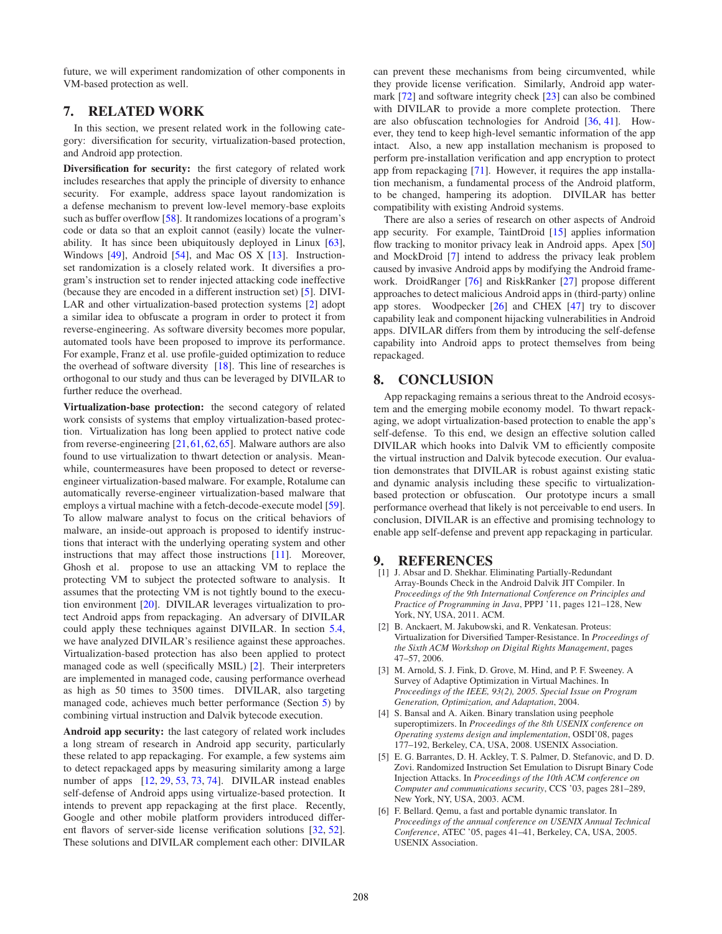future, we will experiment randomization of other components in VM-based protection as well.

## <span id="page-9-3"></span>7. RELATED WORK

In this section, we present related work in the following category: diversification for security, virtualization-based protection, and Android app protection.

Diversification for security: the first category of related work includes researches that apply the principle of diversity to enhance security. For example, address space layout randomization is a defense mechanism to prevent low-level memory-base exploits such as buffer overflow [\[58\]](#page-11-22). It randomizes locations of a program's code or data so that an exploit cannot (easily) locate the vulnerability. It has since been ubiquitously deployed in Linux [\[63\]](#page-11-23), Windows [\[49\]](#page-11-24), Android [\[54\]](#page-11-25), and Mac OS X [\[13\]](#page-10-33). Instructionset randomization is a closely related work. It diversifies a program's instruction set to render injected attacking code ineffective (because they are encoded in a different instruction set) [\[5\]](#page-9-7). DIVI-LAR and other virtualization-based protection systems [\[2\]](#page-9-2) adopt a similar idea to obfuscate a program in order to protect it from reverse-engineering. As software diversity becomes more popular, automated tools have been proposed to improve its performance. For example, Franz et al. use profile-guided optimization to reduce the overhead of software diversity [\[18\]](#page-10-34). This line of researches is orthogonal to our study and thus can be leveraged by DIVILAR to further reduce the overhead.

Virtualization-base protection: the second category of related work consists of systems that employ virtualization-based protection. Virtualization has long been applied to protect native code from reverse-engineering [\[21,](#page-10-10)[61,](#page-11-5)[62,](#page-11-6)[65\]](#page-11-7). Malware authors are also found to use virtualization to thwart detection or analysis. Meanwhile, countermeasures have been proposed to detect or reverseengineer virtualization-based malware. For example, Rotalume can automatically reverse-engineer virtualization-based malware that employs a virtual machine with a fetch-decode-execute model [\[59\]](#page-11-15). To allow malware analyst to focus on the critical behaviors of malware, an inside-out approach is proposed to identify instructions that interact with the underlying operating system and other instructions that may affect those instructions [\[11\]](#page-10-21). Moreover, Ghosh et al. propose to use an attacking VM to replace the protecting VM to subject the protected software to analysis. It assumes that the protecting VM is not tightly bound to the execution environment [\[20\]](#page-10-22). DIVILAR leverages virtualization to protect Android apps from repackaging. An adversary of DIVILAR could apply these techniques against DIVILAR. In section [5.4,](#page-7-0) we have analyzed DIVILAR's resilience against these approaches. Virtualization-based protection has also been applied to protect managed code as well (specifically MSIL) [\[2\]](#page-9-2). Their interpreters are implemented in managed code, causing performance overhead as high as 50 times to 3500 times. DIVILAR, also targeting managed code, achieves much better performance (Section [5\)](#page-5-1) by combining virtual instruction and Dalvik bytecode execution.

Android app security: the last category of related work includes a long stream of research in Android app security, particularly these related to app repackaging. For example, a few systems aim to detect repackaged apps by measuring similarity among a large number of apps [\[12,](#page-10-2) [29,](#page-10-4) [53,](#page-11-0) [73,](#page-11-1) [74\]](#page-11-2). DIVILAR instead enables self-defense of Android apps using virtualize-based protection. It intends to prevent app repackaging at the first place. Recently, Google and other mobile platform providers introduced different flavors of server-side license verification solutions [\[32,](#page-10-5) [52\]](#page-11-4). These solutions and DIVILAR complement each other: DIVILAR

can prevent these mechanisms from being circumvented, while they provide license verification. Similarly, Android app watermark [\[72\]](#page-11-11) and software integrity check [\[23\]](#page-10-23) can also be combined with DIVILAR to provide a more complete protection. There are also obfuscation technologies for Android [\[36,](#page-10-8) [41\]](#page-10-9). However, they tend to keep high-level semantic information of the app intact. Also, a new app installation mechanism is proposed to perform pre-installation verification and app encryption to protect app from repackaging [\[71\]](#page-11-26). However, it requires the app installation mechanism, a fundamental process of the Android platform, to be changed, hampering its adoption. DIVILAR has better compatibility with existing Android systems.

There are also a series of research on other aspects of Android app security. For example, TaintDroid [\[15\]](#page-10-35) applies information flow tracking to monitor privacy leak in Android apps. Apex [\[50\]](#page-11-27) and MockDroid [\[7\]](#page-10-36) intend to address the privacy leak problem caused by invasive Android apps by modifying the Android framework. DroidRanger [\[76\]](#page-11-28) and RiskRanker [\[27\]](#page-10-37) propose different approaches to detect malicious Android apps in (third-party) online app stores. Woodpecker [\[26\]](#page-10-38) and CHEX [\[47\]](#page-11-29) try to discover capability leak and component hijacking vulnerabilities in Android apps. DIVILAR differs from them by introducing the self-defense capability into Android apps to protect themselves from being repackaged.

## <span id="page-9-4"></span>8. CONCLUSION

App repackaging remains a serious threat to the Android ecosystem and the emerging mobile economy model. To thwart repackaging, we adopt virtualization-based protection to enable the app's self-defense. To this end, we design an effective solution called DIVILAR which hooks into Dalvik VM to efficiently composite the virtual instruction and Dalvik bytecode execution. Our evaluation demonstrates that DIVILAR is robust against existing static and dynamic analysis including these specific to virtualizationbased protection or obfuscation. Our prototype incurs a small performance overhead that likely is not perceivable to end users. In conclusion, DIVILAR is an effective and promising technology to enable app self-defense and prevent app repackaging in particular.

#### <span id="page-9-5"></span>9. REFERENCES

- [1] J. Absar and D. Shekhar. Eliminating Partially-Redundant Array-Bounds Check in the Android Dalvik JIT Compiler. In *Proceedings of the 9th International Conference on Principles and Practice of Programming in Java*, PPPJ '11, pages 121–128, New York, NY, USA, 2011. ACM.
- <span id="page-9-2"></span>[2] B. Anckaert, M. Jakubowski, and R. Venkatesan. Proteus: Virtualization for Diversified Tamper-Resistance. In *Proceedings of the Sixth ACM Workshop on Digital Rights Management*, pages 47–57, 2006.
- <span id="page-9-6"></span>[3] M. Arnold, S. J. Fink, D. Grove, M. Hind, and P. F. Sweeney. A Survey of Adaptive Optimization in Virtual Machines. In *Proceedings of the IEEE, 93(2), 2005. Special Issue on Program Generation, Optimization, and Adaptation*, 2004.
- <span id="page-9-1"></span>[4] S. Bansal and A. Aiken. Binary translation using peephole superoptimizers. In *Proceedings of the 8th USENIX conference on Operating systems design and implementation*, OSDI'08, pages 177–192, Berkeley, CA, USA, 2008. USENIX Association.
- <span id="page-9-7"></span>[5] E. G. Barrantes, D. H. Ackley, T. S. Palmer, D. Stefanovic, and D. D. Zovi. Randomized Instruction Set Emulation to Disrupt Binary Code Injection Attacks. In *Proceedings of the 10th ACM conference on Computer and communications security*, CCS '03, pages 281–289, New York, NY, USA, 2003. ACM.
- <span id="page-9-0"></span>[6] F. Bellard. Qemu, a fast and portable dynamic translator. In *Proceedings of the annual conference on USENIX Annual Technical Conference*, ATEC '05, pages 41–41, Berkeley, CA, USA, 2005. USENIX Association.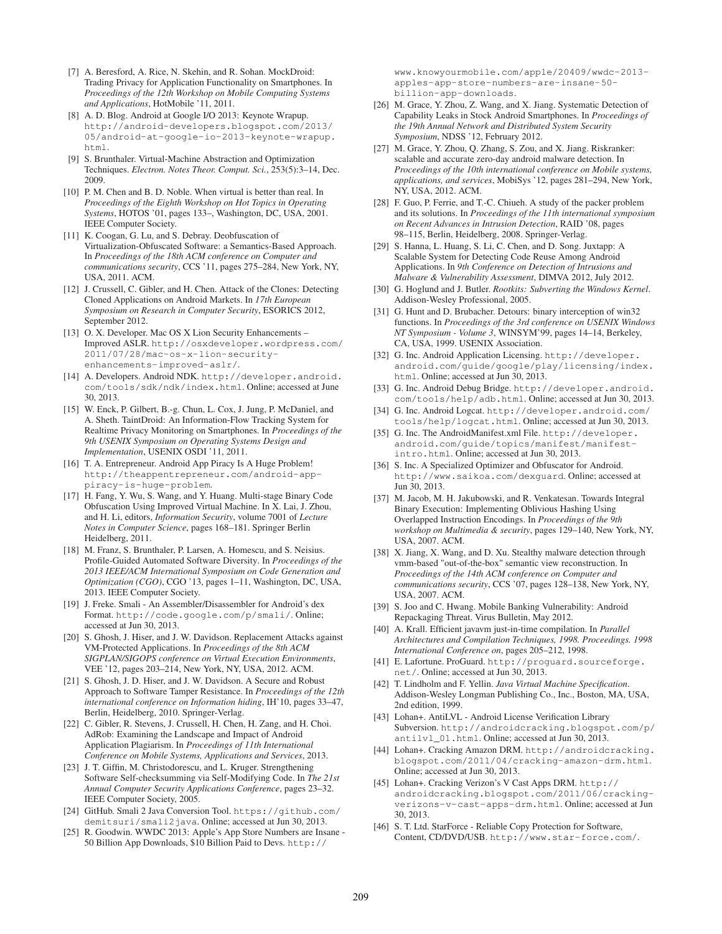- <span id="page-10-36"></span>[7] A. Beresford, A. Rice, N. Skehin, and R. Sohan. MockDroid: Trading Privacy for Application Functionality on Smartphones. In *Proceedings of the 12th Workshop on Mobile Computing Systems and Applications*, HotMobile '11, 2011.
- <span id="page-10-0"></span>[8] A. D. Blog. Android at Google I/O 2013: Keynote Wrapup. [http://android-developers.blogspot.com/2013/](http://android-developers.blogspot.com/2013/05/android-at-google-io-2013-keynote-wrapup.html) [05/android-at-google-io-2013-keynote-wrapup.](http://android-developers.blogspot.com/2013/05/android-at-google-io-2013-keynote-wrapup.html) [html](http://android-developers.blogspot.com/2013/05/android-at-google-io-2013-keynote-wrapup.html).
- <span id="page-10-25"></span>[9] S. Brunthaler. Virtual-Machine Abstraction and Optimization Techniques. *Electron. Notes Theor. Comput. Sci.*, 253(5):3–14, Dec. 2009.
- <span id="page-10-28"></span>[10] P. M. Chen and B. D. Noble. When virtual is better than real. In *Proceedings of the Eighth Workshop on Hot Topics in Operating Systems*, HOTOS '01, pages 133–, Washington, DC, USA, 2001. IEEE Computer Society.
- <span id="page-10-21"></span>[11] K. Coogan, G. Lu, and S. Debray. Deobfuscation of Virtualization-Obfuscated Software: a Semantics-Based Approach. In *Proceedings of the 18th ACM conference on Computer and communications security*, CCS '11, pages 275–284, New York, NY, USA, 2011. ACM.
- <span id="page-10-2"></span>[12] J. Crussell, C. Gibler, and H. Chen. Attack of the Clones: Detecting Cloned Applications on Android Markets. In *17th European Symposium on Research in Computer Security*, ESORICS 2012, September 2012.
- <span id="page-10-33"></span>[13] O. X. Developer. Mac OS X Lion Security Enhancements – Improved ASLR. [http://osxdeveloper.wordpress.com/](http://osxdeveloper.wordpress.com/2011/07/28/mac-os-x-lion-security-enhancements-improved-aslr/) [2011/07/28/mac-os-x-lion-security](http://osxdeveloper.wordpress.com/2011/07/28/mac-os-x-lion-security-enhancements-improved-aslr/)[enhancements-improved-aslr/](http://osxdeveloper.wordpress.com/2011/07/28/mac-os-x-lion-security-enhancements-improved-aslr/).
- <span id="page-10-13"></span>[14] A. Developers. Android NDK. [http://developer.android.](http://developer.android.com/tools/sdk/ndk/index.html) [com/tools/sdk/ndk/index.html](http://developer.android.com/tools/sdk/ndk/index.html). Online; accessed at June 30, 2013.
- <span id="page-10-35"></span>[15] W. Enck, P. Gilbert, B.-g. Chun, L. Cox, J. Jung, P. McDaniel, and A. Sheth. TaintDroid: An Information-Flow Tracking System for Realtime Privacy Monitoring on Smartphones. In *Proceedings of the 9th USENIX Symposium on Operating Systems Design and Implementation*, USENIX OSDI '11, 2011.
- <span id="page-10-16"></span>[16] T. A. Entrepreneur. Android App Piracy Is A Huge Problem! [http://theappentrepreneur.com/android-app](http://theappentrepreneur.com/android-app-piracy-is-huge-problem)[piracy-is-huge-problem](http://theappentrepreneur.com/android-app-piracy-is-huge-problem).
- <span id="page-10-17"></span>[17] H. Fang, Y. Wu, S. Wang, and Y. Huang. Multi-stage Binary Code Obfuscation Using Improved Virtual Machine. In X. Lai, J. Zhou, and H. Li, editors, *Information Security*, volume 7001 of *Lecture Notes in Computer Science*, pages 168–181. Springer Berlin Heidelberg, 2011.
- <span id="page-10-34"></span>[18] M. Franz, S. Brunthaler, P. Larsen, A. Homescu, and S. Neisius. Profile-Guided Automated Software Diversity. In *Proceedings of the 2013 IEEE/ACM International Symposium on Code Generation and Optimization (CGO)*, CGO '13, pages 1–11, Washington, DC, USA, 2013. IEEE Computer Society.
- <span id="page-10-15"></span>[19] J. Freke. Smali - An Assembler/Disassembler for Android's dex Format. <http://code.google.com/p/smali/>. Online; accessed at Jun 30, 2013.
- <span id="page-10-22"></span>[20] S. Ghosh, J. Hiser, and J. W. Davidson. Replacement Attacks against VM-Protected Applications. In *Proceedings of the 8th ACM SIGPLAN/SIGOPS conference on Virtual Execution Environments*, VEE '12, pages 203–214, New York, NY, USA, 2012. ACM.
- <span id="page-10-10"></span>[21] S. Ghosh, J. D. Hiser, and J. W. Davidson. A Secure and Robust Approach to Software Tamper Resistance. In *Proceedings of the 12th international conference on Information hiding*, IH'10, pages 33–47, Berlin, Heidelberg, 2010. Springer-Verlag.
- <span id="page-10-3"></span>[22] C. Gibler, R. Stevens, J. Crussell, H. Chen, H. Zang, and H. Choi. AdRob: Examining the Landscape and Impact of Android Application Plagiarism. In *Proceedings of 11th International Conference on Mobile Systems, Applications and Services*, 2013.
- <span id="page-10-23"></span>[23] J. T. Giffin, M. Christodorescu, and L. Kruger. Strengthening Software Self-checksumming via Self-Modifying Code. In *The 21st Annual Computer Security Applications Conference*, pages 23–32. IEEE Computer Society, 2005.
- <span id="page-10-26"></span>[24] GitHub. Smali 2 Java Conversion Tool. [https://github.com/](https://github.com/demitsuri/smali2java) [demitsuri/smali2java](https://github.com/demitsuri/smali2java). Online; accessed at Jun 30, 2013.
- <span id="page-10-1"></span>[25] R. Goodwin. WWDC 2013: Apple's App Store Numbers are Insane - 50 Billion App Downloads, \$10 Billion Paid to Devs. [http://](http://www.knowyourmobile.com/apple/20409/wwdc-2013-apples-app-store-numbers-are-insane-50-billion-app-downloads)

[www.knowyourmobile.com/apple/20409/wwdc-2013](http://www.knowyourmobile.com/apple/20409/wwdc-2013-apples-app-store-numbers-are-insane-50-billion-app-downloads) [apples-app-store-numbers-are-insane-50](http://www.knowyourmobile.com/apple/20409/wwdc-2013-apples-app-store-numbers-are-insane-50-billion-app-downloads) [billion-app-downloads](http://www.knowyourmobile.com/apple/20409/wwdc-2013-apples-app-store-numbers-are-insane-50-billion-app-downloads).

- <span id="page-10-38"></span>[26] M. Grace, Y. Zhou, Z. Wang, and X. Jiang. Systematic Detection of Capability Leaks in Stock Android Smartphones. In *Proceedings of the 19th Annual Network and Distributed System Security Symposium*, NDSS '12, February 2012.
- <span id="page-10-37"></span>[27] M. Grace, Y. Zhou, Q. Zhang, S. Zou, and X. Jiang. Riskranker: scalable and accurate zero-day android malware detection. In *Proceedings of the 10th international conference on Mobile systems, applications, and services*, MobiSys '12, pages 281–294, New York, NY, USA, 2012. ACM.
- <span id="page-10-19"></span>[28] F. Guo, P. Ferrie, and T.-C. Chiueh. A study of the packer problem and its solutions. In *Proceedings of the 11th international symposium on Recent Advances in Intrusion Detection*, RAID '08, pages 98–115, Berlin, Heidelberg, 2008. Springer-Verlag.
- <span id="page-10-4"></span>[29] S. Hanna, L. Huang, S. Li, C. Chen, and D. Song. Juxtapp: A Scalable System for Detecting Code Reuse Among Android Applications. In *9th Conference on Detection of Intrusions and Malware & Vulnerability Assessment*, DIMVA 2012, July 2012.
- <span id="page-10-32"></span>[30] G. Hoglund and J. Butler. *Rootkits: Subverting the Windows Kernel*. Addison-Wesley Professional, 2005.
- <span id="page-10-18"></span>[31] G. Hunt and D. Brubacher. Detours: binary interception of win32 functions. In *Proceedings of the 3rd conference on USENIX Windows NT Symposium - Volume 3*, WINSYM'99, pages 14–14, Berkeley, CA, USA, 1999. USENIX Association.
- <span id="page-10-5"></span>[32] G. Inc. Android Application Licensing. [http://developer.](http://developer.android.com/guide/google/play/licensing/index.html) [android.com/guide/google/play/licensing/index.](http://developer.android.com/guide/google/play/licensing/index.html) [html](http://developer.android.com/guide/google/play/licensing/index.html). Online; accessed at Jun 30, 2013.
- <span id="page-10-31"></span>[33] G. Inc. Android Debug Bridge. [http://developer.android.](http://developer.android.com/tools/help/adb.html) [com/tools/help/adb.html](http://developer.android.com/tools/help/adb.html). Online; accessed at Jun 30, 2013.
- <span id="page-10-30"></span>[34] G. Inc. Android Logcat. [http://developer.android.com/](http://developer.android.com/tools/help/logcat.html) [tools/help/logcat.html](http://developer.android.com/tools/help/logcat.html). Online; accessed at Jun 30, 2013.
- <span id="page-10-20"></span>[35] G. Inc. The AndroidManifest.xml File. [http://developer.](http://developer.android.com/guide/topics/manifest/manifest-intro.html) [android.com/guide/topics/manifest/manifest](http://developer.android.com/guide/topics/manifest/manifest-intro.html)[intro.html](http://developer.android.com/guide/topics/manifest/manifest-intro.html). Online; accessed at Jun 30, 2013.
- <span id="page-10-8"></span>[36] S. Inc. A Specialized Optimizer and Obfuscator for Android. <http://www.saikoa.com/dexguard>. Online; accessed at Jun 30, 2013.
- <span id="page-10-24"></span>[37] M. Jacob, M. H. Jakubowski, and R. Venkatesan. Towards Integral Binary Execution: Implementing Oblivious Hashing Using Overlapped Instruction Encodings. In *Proceedings of the 9th workshop on Multimedia & security*, pages 129–140, New York, NY, USA, 2007. ACM.
- <span id="page-10-29"></span>[38] X. Jiang, X. Wang, and D. Xu. Stealthy malware detection through vmm-based "out-of-the-box" semantic view reconstruction. In *Proceedings of the 14th ACM conference on Computer and communications security*, CCS '07, pages 128–138, New York, NY, USA, 2007. ACM.
- <span id="page-10-27"></span>[39] S. Joo and C. Hwang. Mobile Banking Vulnerability: Android Repackaging Threat. Virus Bulletin, May 2012.
- <span id="page-10-12"></span>[40] A. Krall. Efficient javavm just-in-time compilation. In *Parallel Architectures and Compilation Techniques, 1998. Proceedings. 1998 International Conference on*, pages 205–212, 1998.
- <span id="page-10-9"></span>[41] E. Lafortune. ProGuard. [http://proguard.sourceforge.](http://proguard.sourceforge.net/) [net/](http://proguard.sourceforge.net/). Online; accessed at Jun 30, 2013.
- <span id="page-10-14"></span>[42] T. Lindholm and F. Yellin. *Java Virtual Machine Specification*. Addison-Wesley Longman Publishing Co., Inc., Boston, MA, USA, 2nd edition, 1999.
- <span id="page-10-6"></span>[43] Lohan+. AntiLVL - Android License Verification Library Subversion. [http://androidcracking.blogspot.com/p/](http://androidcracking.blogspot.com/p/antilvl_01.html) [antilvl\\_01.html](http://androidcracking.blogspot.com/p/antilvl_01.html). Online; accessed at Jun 30, 2013.
- [44] Lohan+. Cracking Amazon DRM. [http://androidcracking.](http://androidcracking.blogspot.com/2011/04/cracking-amazon-drm.html) [blogspot.com/2011/04/cracking-amazon-drm.html](http://androidcracking.blogspot.com/2011/04/cracking-amazon-drm.html). Online; accessed at Jun 30, 2013.
- <span id="page-10-7"></span>[45] Lohan+. Cracking Verizon's V Cast Apps DRM. [http://](http://androidcracking.blogspot.com/2011/06/cracking-verizons-v-cast-apps-drm.html) [androidcracking.blogspot.com/2011/06/cracking](http://androidcracking.blogspot.com/2011/06/cracking-verizons-v-cast-apps-drm.html)[verizons-v-cast-apps-drm.html](http://androidcracking.blogspot.com/2011/06/cracking-verizons-v-cast-apps-drm.html). Online; accessed at Jun 30, 2013.
- <span id="page-10-11"></span>[46] S. T. Ltd. StarForce - Reliable Copy Protection for Software, Content, CD/DVD/USB. <http://www.star-force.com/>.